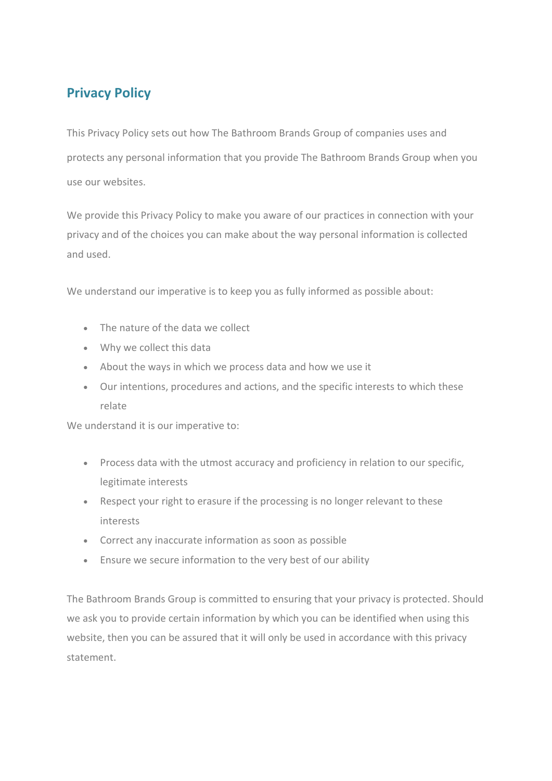# **Privacy Policy**

This Privacy Policy sets out how The Bathroom Brands Group of companies uses and protects any personal information that you provide The Bathroom Brands Group when you use our websites.

We provide this Privacy Policy to make you aware of our practices in connection with your privacy and of the choices you can make about the way personal information is collected and used.

We understand our imperative is to keep you as fully informed as possible about:

- The nature of the data we collect
- Why we collect this data
- About the ways in which we process data and how we use it
- Our intentions, procedures and actions, and the specific interests to which these relate

We understand it is our imperative to:

- Process data with the utmost accuracy and proficiency in relation to our specific, legitimate interests
- Respect your right to erasure if the processing is no longer relevant to these interests
- Correct any inaccurate information as soon as possible
- Ensure we secure information to the very best of our ability

The Bathroom Brands Group is committed to ensuring that your privacy is protected. Should we ask you to provide certain information by which you can be identified when using this website, then you can be assured that it will only be used in accordance with this privacy statement.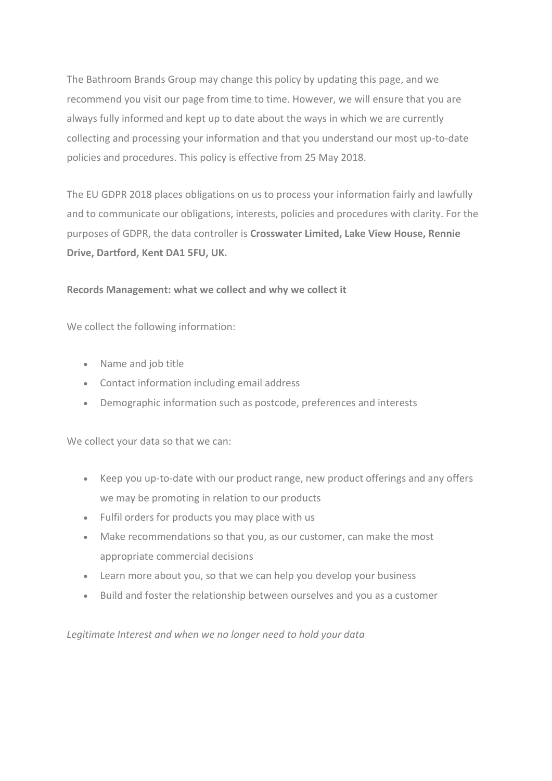The Bathroom Brands Group may change this policy by updating this page, and we recommend you visit our page from time to time. However, we will ensure that you are always fully informed and kept up to date about the ways in which we are currently collecting and processing your information and that you understand our most up-to-date policies and procedures. This policy is effective from 25 May 2018.

The EU GDPR 2018 places obligations on us to process your information fairly and lawfully and to communicate our obligations, interests, policies and procedures with clarity. For the purposes of GDPR, the data controller is **Crosswater Limited, Lake View House, Rennie Drive, Dartford, Kent DA1 5FU, UK.** 

# **Records Management: what we collect and why we collect it**

We collect the following information:

- Name and job title
- Contact information including email address
- Demographic information such as postcode, preferences and interests

We collect your data so that we can:

- Keep you up-to-date with our product range, new product offerings and any offers we may be promoting in relation to our products
- Fulfil orders for products you may place with us
- Make recommendations so that you, as our customer, can make the most appropriate commercial decisions
- Learn more about you, so that we can help you develop your business
- Build and foster the relationship between ourselves and you as a customer

*Legitimate Interest and when we no longer need to hold your data*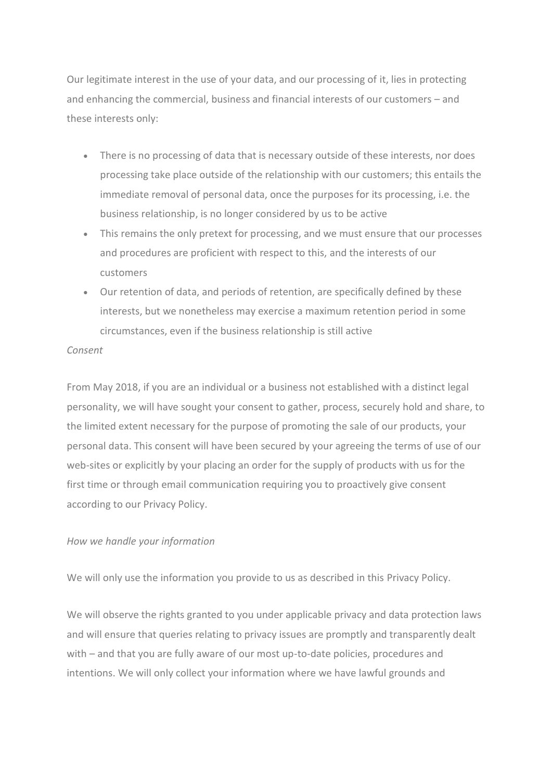Our legitimate interest in the use of your data, and our processing of it, lies in protecting and enhancing the commercial, business and financial interests of our customers – and these interests only:

- There is no processing of data that is necessary outside of these interests, nor does processing take place outside of the relationship with our customers; this entails the immediate removal of personal data, once the purposes for its processing, i.e. the business relationship, is no longer considered by us to be active
- This remains the only pretext for processing, and we must ensure that our processes and procedures are proficient with respect to this, and the interests of our customers
- Our retention of data, and periods of retention, are specifically defined by these interests, but we nonetheless may exercise a maximum retention period in some circumstances, even if the business relationship is still active

#### *Consent*

From May 2018, if you are an individual or a business not established with a distinct legal personality, we will have sought your consent to gather, process, securely hold and share, to the limited extent necessary for the purpose of promoting the sale of our products, your personal data. This consent will have been secured by your agreeing the terms of use of our web-sites or explicitly by your placing an order for the supply of products with us for the first time or through email communication requiring you to proactively give consent according to our Privacy Policy.

#### *How we handle your information*

We will only use the information you provide to us as described in this Privacy Policy.

We will observe the rights granted to you under applicable privacy and data protection laws and will ensure that queries relating to privacy issues are promptly and transparently dealt with – and that you are fully aware of our most up-to-date policies, procedures and intentions. We will only collect your information where we have lawful grounds and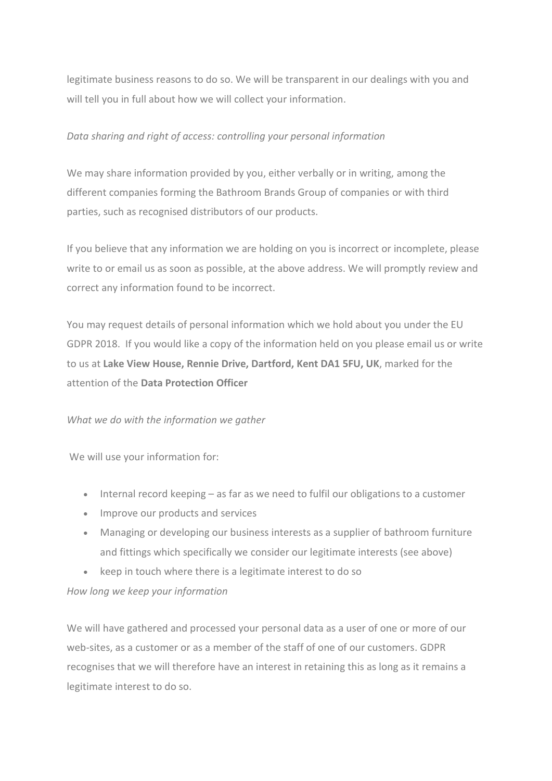legitimate business reasons to do so. We will be transparent in our dealings with you and will tell you in full about how we will collect your information.

# *Data sharing and right of access: controlling your personal information*

We may share information provided by you, either verbally or in writing, among the different companies forming the Bathroom Brands Group of companies or with third parties, such as recognised distributors of our products.

If you believe that any information we are holding on you is incorrect or incomplete, please write to or email us as soon as possible, at the above address. We will promptly review and correct any information found to be incorrect.

You may request details of personal information which we hold about you under the EU GDPR 2018. If you would like a copy of the information held on you please email us or write to us at **Lake View House, Rennie Drive, Dartford, Kent DA1 5FU, UK**, marked for the attention of the **Data Protection Officer**

# *What we do with the information we gather*

We will use your information for:

- Internal record keeping as far as we need to fulfil our obligations to a customer
- Improve our products and services
- Managing or developing our business interests as a supplier of bathroom furniture and fittings which specifically we consider our legitimate interests (see above)
- keep in touch where there is a legitimate interest to do so

# *How long we keep your information*

We will have gathered and processed your personal data as a user of one or more of our web-sites, as a customer or as a member of the staff of one of our customers. GDPR recognises that we will therefore have an interest in retaining this as long as it remains a legitimate interest to do so.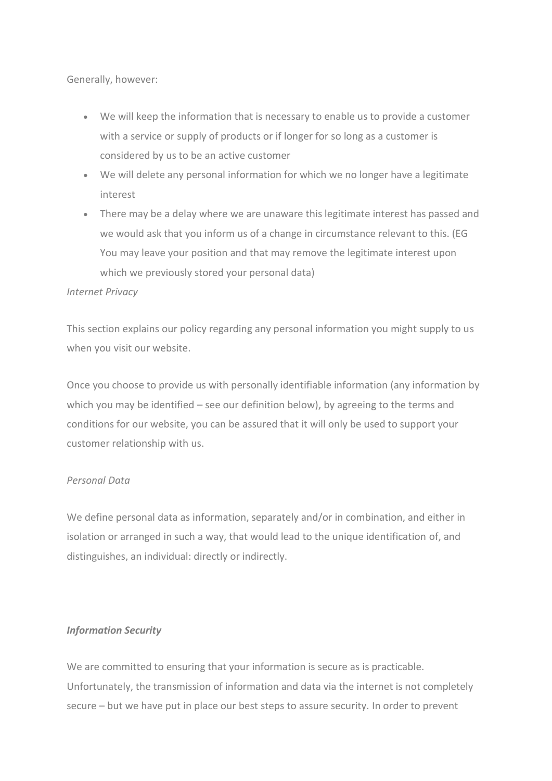Generally, however:

- We will keep the information that is necessary to enable us to provide a customer with a service or supply of products or if longer for so long as a customer is considered by us to be an active customer
- We will delete any personal information for which we no longer have a legitimate interest
- There may be a delay where we are unaware this legitimate interest has passed and we would ask that you inform us of a change in circumstance relevant to this. (EG You may leave your position and that may remove the legitimate interest upon which we previously stored your personal data)

# *Internet Privacy*

This section explains our policy regarding any personal information you might supply to us when you visit our website.

Once you choose to provide us with personally identifiable information (any information by which you may be identified – see our definition below), by agreeing to the terms and conditions for our website, you can be assured that it will only be used to support your customer relationship with us.

# *Personal Data*

We define personal data as information, separately and/or in combination, and either in isolation or arranged in such a way, that would lead to the unique identification of, and distinguishes, an individual: directly or indirectly.

# *Information Security*

We are committed to ensuring that your information is secure as is practicable. Unfortunately, the transmission of information and data via the internet is not completely secure – but we have put in place our best steps to assure security. In order to prevent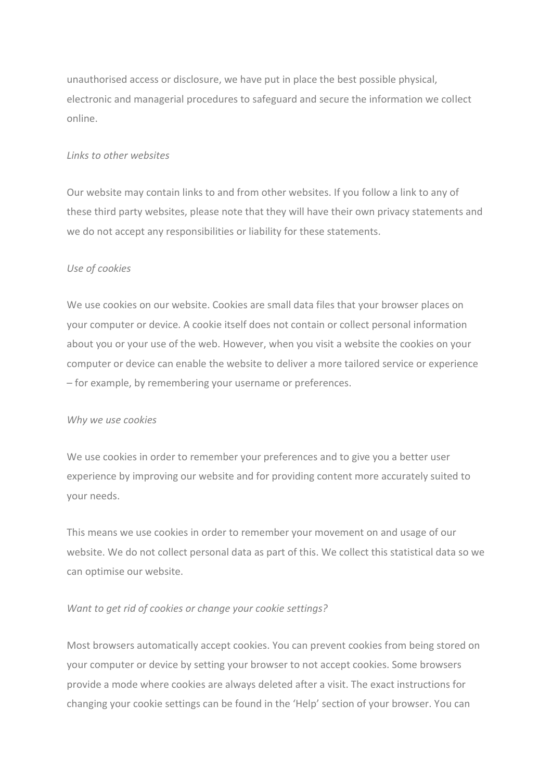unauthorised access or disclosure, we have put in place the best possible physical, electronic and managerial procedures to safeguard and secure the information we collect online.

#### *Links to other websites*

Our website may contain links to and from other websites. If you follow a link to any of these third party websites, please note that they will have their own privacy statements and we do not accept any responsibilities or liability for these statements.

## *Use of cookies*

We use cookies on our website. Cookies are small data files that your browser places on your computer or device. A cookie itself does not contain or collect personal information about you or your use of the web. However, when you visit a website the cookies on your computer or device can enable the website to deliver a more tailored service or experience – for example, by remembering your username or preferences.

#### *Why we use cookies*

We use cookies in order to remember your preferences and to give you a better user experience by improving our website and for providing content more accurately suited to your needs.

This means we use cookies in order to remember your movement on and usage of our website. We do not collect personal data as part of this. We collect this statistical data so we can optimise our website.

## *Want to get rid of cookies or change your cookie settings?*

Most browsers automatically accept cookies. You can prevent cookies from being stored on your computer or device by setting your browser to not accept cookies. Some browsers provide a mode where cookies are always deleted after a visit. The exact instructions for changing your cookie settings can be found in the 'Help' section of your browser. You can